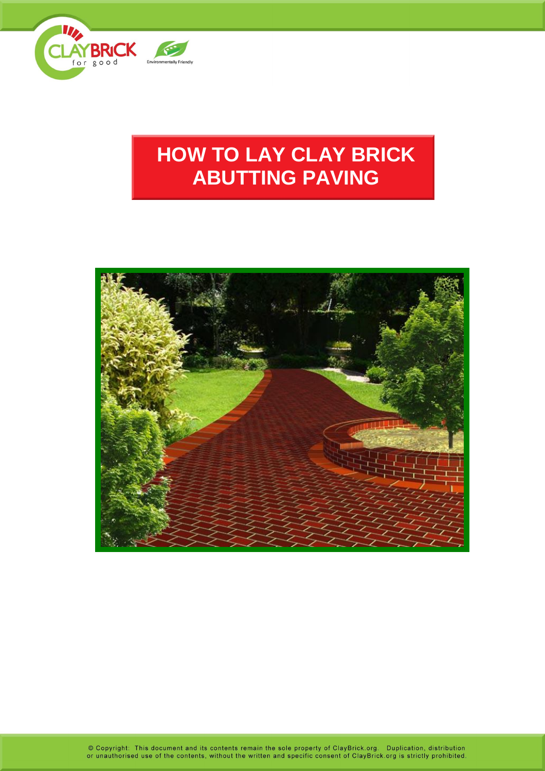

# **HOW TO LAY CLAY BRICK ABUTTING PAVING**



© Copyright: This document and its contents remain the sole property of ClayBrick.org. Duplication, distribution<br>or unauthorised use of the contents, without the written and specific consent of ClayBrick.org is strictly pr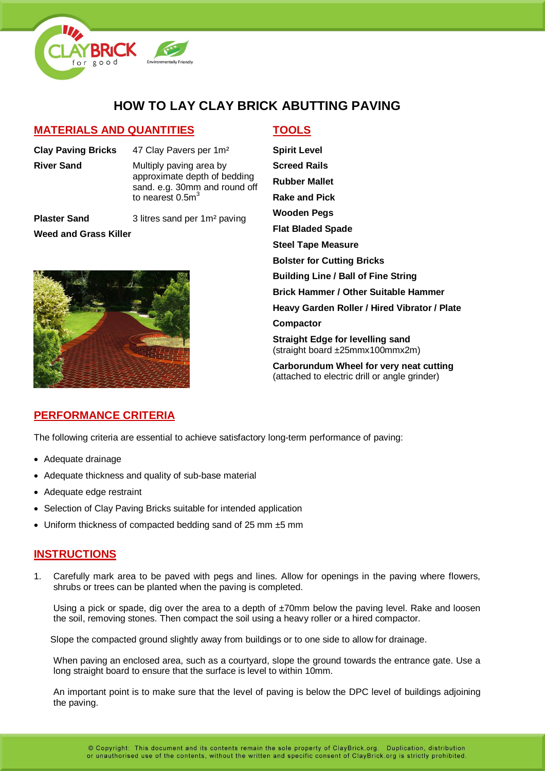

# **HOW TO LAY CLAY BRICK ABUTTING PAVING**

### **MATERIALS AND QUANTITIES TOOLS**

**Clay Paving Bricks** 47 Clay Pavers per 1m² **River Sand** Multiply paving area by

approximate depth of bedding sand. e.g. 30mm and round off to nearest  $0.5<sup>3</sup>$ 

**Plaster Sand** 3 litres sand per 1m<sup>2</sup> paving **Weed and Grass Killer**



**Spirit Level Screed Rails Rubber Mallet Rake and Pick Wooden Pegs Flat Bladed Spade Steel Tape Measure Bolster for Cutting Bricks Building Line / Ball of Fine String Brick Hammer / Other Suitable Hammer Heavy Garden Roller / Hired Vibrator / Plate Compactor Straight Edge for levelling sand** (straight board ±25mmx100mmx2m)

**Carborundum Wheel for very neat cutting** (attached to electric drill or angle grinder)

# **PERFORMANCE CRITERIA**

The following criteria are essential to achieve satisfactory long-term performance of paving:

- Adequate drainage
- Adequate thickness and quality of sub-base material
- Adequate edge restraint
- Selection of Clay Paving Bricks suitable for intended application
- Uniform thickness of compacted bedding sand of 25 mm ±5 mm

# **INSTRUCTIONS**

1. Carefully mark area to be paved with pegs and lines. Allow for openings in the paving where flowers, shrubs or trees can be planted when the paving is completed.

Using a pick or spade, dig over the area to a depth of  $\pm$ 70mm below the paving level. Rake and loosen the soil, removing stones. Then compact the soil using a heavy roller or a hired compactor.

Slope the compacted ground slightly away from buildings or to one side to allow for drainage.

When paving an enclosed area, such as a courtyard, slope the ground towards the entrance gate. Use a long straight board to ensure that the surface is level to within 10mm.

An important point is to make sure that the level of paving is below the DPC level of buildings adjoining the paving.